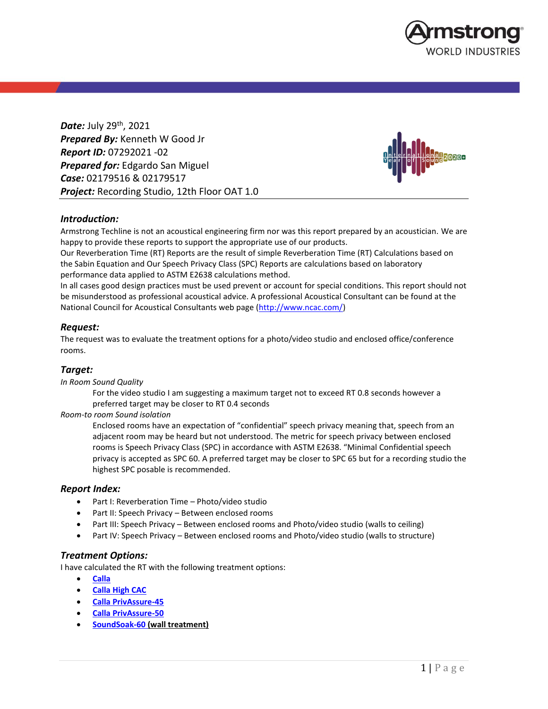

*Date:* July 29th , 2021 *Prepared By:* Kenneth W Good Jr *Report ID:* 07292021 -02 *Prepared for:* Edgardo San Miguel *Case:* 02179516 & 02179517 *Project:* Recording Studio, 12th Floor OAT 1.0



## *Introduction:*

Armstrong Techline is not an acoustical engineering firm nor was this report prepared by an acoustician. We are happy to provide these reports to support the appropriate use of our products.

Our Reverberation Time (RT) Reports are the result of simple Reverberation Time (RT) Calculations based on the Sabin Equation and Our Speech Privacy Class (SPC) Reports are calculations based on laboratory performance data applied to ASTM E2638 calculations method.

In all cases good design practices must be used prevent or account for special conditions. This report should not be misunderstood as professional acoustical advice. A professional Acoustical Consultant can be found at the National Council for Acoustical Consultants web page [\(http://www.ncac.com/\)](http://www.ncac.com/)

## *Request:*

The request was to evaluate the treatment options for a photo/video studio and enclosed office/conference rooms.

## *Target:*

*In Room Sound Quality*

For the video studio I am suggesting a maximum target not to exceed RT 0.8 seconds however a preferred target may be closer to RT 0.4 seconds

*Room-to room Sound isolation*

Enclosed rooms have an expectation of "confidential" speech privacy meaning that, speech from an adjacent room may be heard but not understood. The metric for speech privacy between enclosed rooms is Speech Privacy Class (SPC) in accordance with ASTM E2638. "Minimal Confidential speech privacy is accepted as SPC 60. A preferred target may be closer to SPC 65 but for a recording studio the highest SPC posable is recommended.

### *Report Index:*

- Part I: Reverberation Time Photo/video studio
- Part II: Speech Privacy Between enclosed rooms
- Part III: Speech Privacy Between enclosed rooms and Photo/video studio (walls to ceiling)
- Part IV: Speech Privacy Between enclosed rooms and Photo/video studio (walls to structure)

### *Treatment Options:*

I have calculated the RT with the following treatment options:

- **[Calla](https://www.armstrongceilings.com/commercial/en-us/commercial-ceilings-walls/calla-ceiling-tiles.html)**
- **[Calla High CAC](https://www.armstrongceilings.com/commercial/en-us/commercial-ceilings-walls/calla-high-cac-ceiling-tiles.html#redirect_term=CALLA+High+CAC)**
- **[Calla PrivAssure-](https://www.armstrongceilings.com/commercial/en-us/commercial-ceilings-walls/calla-privassure-ceiling-tiles.html#redirect_term=CALLA+PRIVASSURE)45**
- **[Calla PrivAssure-](https://www.armstrongceilings.com/commercial/en-us/commercial-ceilings-walls/calla-privassure-ceiling-tiles.html#redirect_term=CALLA+PRIVASSURE)50**
- **[SoundSoak-](https://www.armstrongceilings.com/commercial/en-us/commercial-ceilings-walls/acoustic-wall-panels/soundsoak-wall-panels.html)60 (wall treatment)**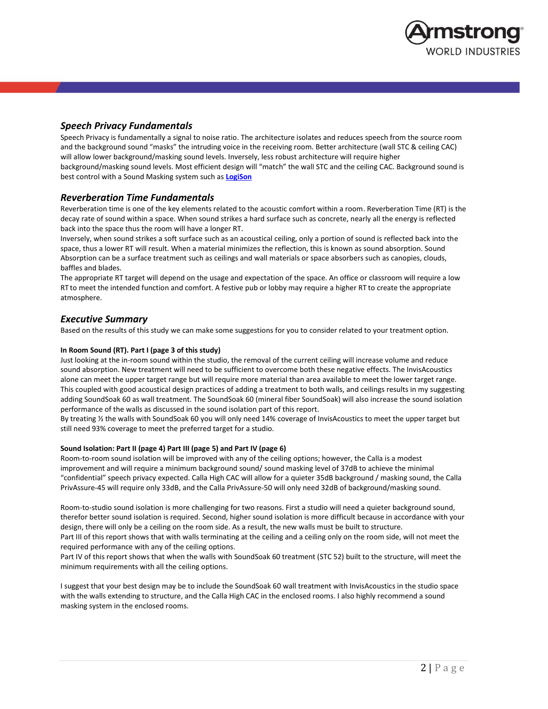

## *Speech Privacy Fundamentals*

Speech Privacy is fundamentally a signal to noise ratio. The architecture isolates and reduces speech from the source room and the background sound "masks" the intruding voice in the receiving room. Better architecture (wall STC & ceiling CAC) will allow lower background/masking sound levels. Inversely, less robust architecture will require higher background/masking sound levels. Most efficient design will "match" the wall STC and the ceiling CAC. Background sound is best control with a Sound Masking system such as **[LogiSon](https://www.logison.com/)**

## *Reverberation Time Fundamentals*

Reverberation time is one of the key elements related to the acoustic comfort within a room. Reverberation Time (RT) is the decay rate of sound within a space. When sound strikes a hard surface such as concrete, nearly all the energy is reflected back into the space thus the room will have a longer RT.

Inversely, when sound strikes a soft surface such as an acoustical ceiling, only a portion of sound is reflected back into the space, thus a lower RT will result. When a material minimizes the reflection, this is known as sound absorption. Sound Absorption can be a surface treatment such as ceilings and wall materials or space absorbers such as canopies, clouds, baffles and blades.

The appropriate RT target will depend on the usage and expectation of the space. An office or classroom will require a low RT to meet the intended function and comfort. A festive pub or lobby may require a higher RT to create the appropriate atmosphere.

### *Executive Summary*

Based on the results of this study we can make some suggestions for you to consider related to your treatment option.

#### **In Room Sound (RT). Part I (page 3 of this study)**

Just looking at the in-room sound within the studio, the removal of the current ceiling will increase volume and reduce sound absorption. New treatment will need to be sufficient to overcome both these negative effects. The InvisAcoustics alone can meet the upper target range but will require more material than area available to meet the lower target range. This coupled with good acoustical design practices of adding a treatment to both walls, and ceilings results in my suggesting adding SoundSoak 60 as wall treatment. The SoundSoak 60 (mineral fiber SoundSoak) will also increase the sound isolation performance of the walls as discussed in the sound isolation part of this report.

By treating ½ the walls with SoundSoak 60 you will only need 14% coverage of InvisAcoustics to meet the upper target but still need 93% coverage to meet the preferred target for a studio.

#### **Sound Isolation: Part II (page 4) Part III (page 5) and Part IV (page 6)**

Room-to-room sound isolation will be improved with any of the ceiling options; however, the Calla is a modest improvement and will require a minimum background sound/ sound masking level of 37dB to achieve the minimal "confidential" speech privacy expected. Calla High CAC will allow for a quieter 35dB background / masking sound, the Calla PrivAssure-45 will require only 33dB, and the Calla PrivAssure-50 will only need 32dB of background/masking sound.

Room-to-studio sound isolation is more challenging for two reasons. First a studio will need a quieter background sound, therefor better sound isolation is required. Second, higher sound isolation is more difficult because in accordance with your design, there will only be a ceiling on the room side. As a result, the new walls must be built to structure. Part III of this report shows that with walls terminating at the ceiling and a ceiling only on the room side, will not meet the required performance with any of the ceiling options.

Part IV of this report shows that when the walls with SoundSoak 60 treatment (STC 52) built to the structure, will meet the minimum requirements with all the ceiling options.

I suggest that your best design may be to include the SoundSoak 60 wall treatment with InvisAcoustics in the studio space with the walls extending to structure, and the Calla High CAC in the enclosed rooms. I also highly recommend a sound masking system in the enclosed rooms.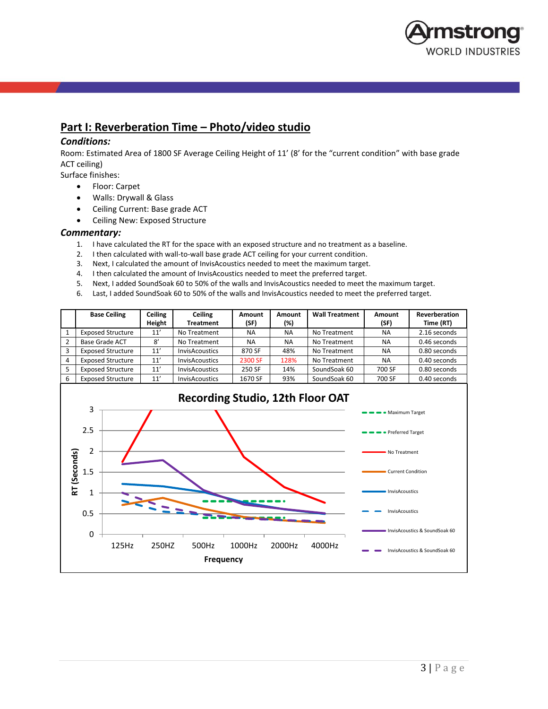

## **Part I: Reverberation Time – Photo/video studio**

### *Conditions:*

Room: Estimated Area of 1800 SF Average Ceiling Height of 11' (8' for the "current condition" with base grade ACT ceiling)

- Surface finishes:
	- Floor: Carpet
	- Walls: Drywall & Glass
	- Ceiling Current: Base grade ACT
	- Ceiling New: Exposed Structure

### *Commentary:*

- 1. I have calculated the RT for the space with an exposed structure and no treatment as a baseline.
- 2. I then calculated with wall-to-wall base grade ACT ceiling for your current condition.
- 3. Next, I calculated the amount of InvisAcoustics needed to meet the maximum target.
- 4. I then calculated the amount of InvisAcoustics needed to meet the preferred target.
- 5. Next, I added SoundSoak 60 to 50% of the walls and InvisAcoustics needed to meet the maximum target.
- 6. Last, I added SoundSoak 60 to 50% of the walls and InvisAcoustics needed to meet the preferred target.

|   | <b>Base Ceiling</b>      | Ceiling<br>Height | Ceiling<br><b>Treatment</b> | Amount<br>(SF) | Amount<br>(%) | <b>Wall Treatment</b> | <b>Amount</b><br>(SF) | Reverberation<br>Time (RT) |
|---|--------------------------|-------------------|-----------------------------|----------------|---------------|-----------------------|-----------------------|----------------------------|
|   | <b>Exposed Structure</b> | 11'               | No Treatment                | <b>NA</b>      | <b>NA</b>     | No Treatment          | <b>NA</b>             | 2.16 seconds               |
|   | <b>Base Grade ACT</b>    | 8'                | No Treatment                | <b>NA</b>      | <b>NA</b>     | No Treatment          | <b>NA</b>             | 0.46 seconds               |
|   | <b>Exposed Structure</b> | 11'               | <b>InvisAcoustics</b>       | 870 SF         | 48%           | No Treatment          | <b>NA</b>             | 0.80 seconds               |
| 4 | <b>Exposed Structure</b> | 11'               | <b>InvisAcoustics</b>       | 2300 SF        | 128%          | No Treatment          | <b>NA</b>             | 0.40 seconds               |
|   | <b>Exposed Structure</b> | 11'               | <b>InvisAcoustics</b>       | 250 SF         | 14%           | SoundSoak 60          | 700 SF                | 0.80 seconds               |
| 6 | <b>Exposed Structure</b> | 11'               | <b>InvisAcoustics</b>       | 1670 SF        | 93%           | SoundSoak 60          | 700 SF                | 0.40 seconds               |

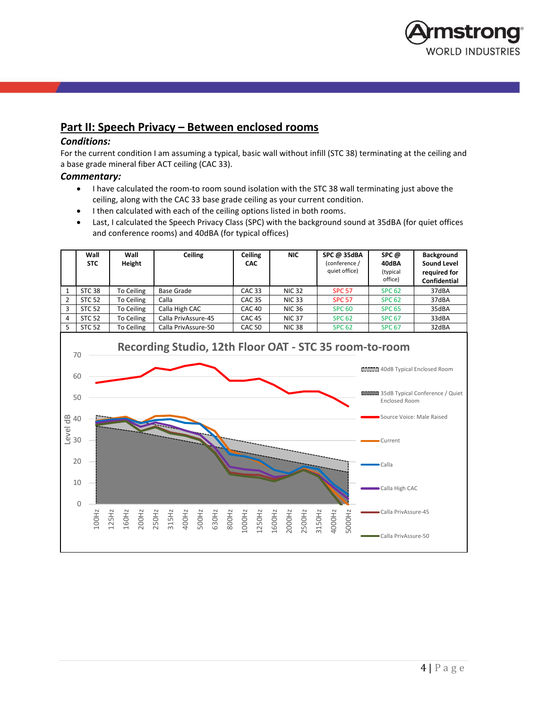

## **Part II: Speech Privacy – Between enclosed rooms**

## *Conditions:*

For the current condition I am assuming a typical, basic wall without infill (STC 38) terminating at the ceiling and a base grade mineral fiber ACT ceiling (CAC 33).

## *Commentary:*

- I have calculated the room-to room sound isolation with the STC 38 wall terminating just above the ceiling, along with the CAC 33 base grade ceiling as your current condition.
- I then calculated with each of the ceiling options listed in both rooms.
- Last, I calculated the Speech Privacy Class (SPC) with the background sound at 35dBA (for quiet offices and conference rooms) and 40dBA (for typical offices)

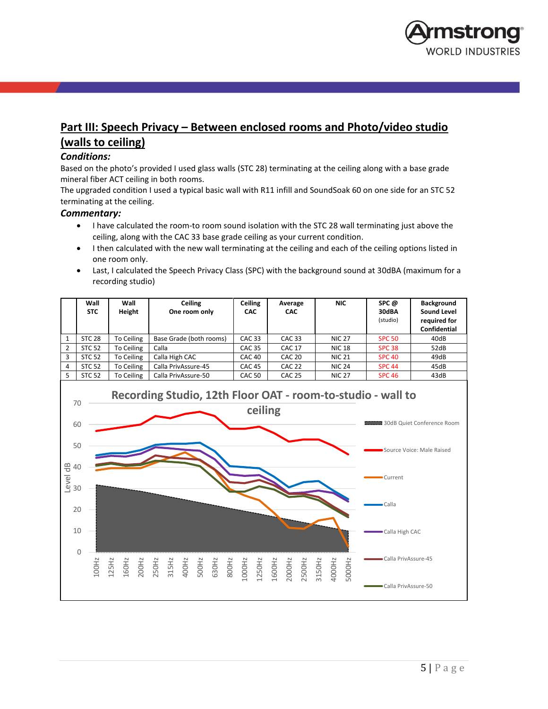

# **Part III: Speech Privacy – Between enclosed rooms and Photo/video studio (walls to ceiling)**

## *Conditions:*

Based on the photo's provided I used glass walls (STC 28) terminating at the ceiling along with a base grade mineral fiber ACT ceiling in both rooms.

The upgraded condition I used a typical basic wall with R11 infill and SoundSoak 60 on one side for an STC 52 terminating at the ceiling.

## *Commentary:*

- I have calculated the room-to room sound isolation with the STC 28 wall terminating just above the ceiling, along with the CAC 33 base grade ceiling as your current condition.
- I then calculated with the new wall terminating at the ceiling and each of the ceiling options listed in one room only.
- Last, I calculated the Speech Privacy Class (SPC) with the background sound at 30dBA (maximum for a recording studio)

|   | Wall<br><b>STC</b> | Wall<br>Height | Ceiling<br>One room only | Ceiling<br><b>CAC</b> | Average<br><b>CAC</b> | NIC.          | SPC@<br>30dBA<br>(studio) | <b>Background</b><br>Sound Level<br>required for<br><b>Confidential</b> |
|---|--------------------|----------------|--------------------------|-----------------------|-----------------------|---------------|---------------------------|-------------------------------------------------------------------------|
|   | <b>STC 28</b>      | To Ceiling     | Base Grade (both rooms)  | <b>CAC 33</b>         | CAC <sub>33</sub>     | <b>NIC 27</b> | <b>SPC 50</b>             | 40dB                                                                    |
| 2 | <b>STC 52</b>      | To Ceiling     | Calla                    | <b>CAC 35</b>         | <b>CAC 17</b>         | <b>NIC 18</b> | <b>SPC 38</b>             | 52dB                                                                    |
| 3 | <b>STC 52</b>      | To Ceiling     | Calla High CAC           | CAC <sub>40</sub>     | CAC <sub>20</sub>     | <b>NIC 21</b> | <b>SPC 40</b>             | 49dB                                                                    |
| 4 | <b>STC 52</b>      | To Ceiling     | Calla PrivAssure-45      | <b>CAC 45</b>         | CAC <sub>22</sub>     | <b>NIC 24</b> | <b>SPC 44</b>             | 45dB                                                                    |
|   | <b>STC 52</b>      | To Ceiling     | Calla PrivAssure-50      | <b>CAC 50</b>         | <b>CAC 25</b>         | <b>NIC 27</b> | <b>SPC 46</b>             | 43dB                                                                    |

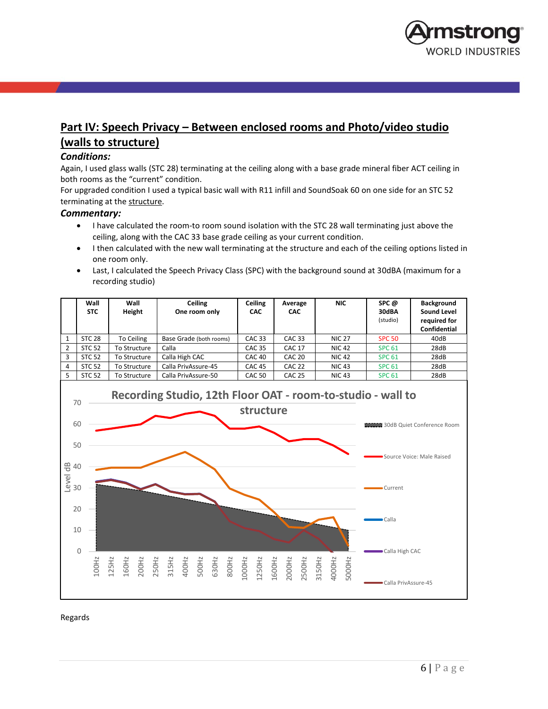

# **Part IV: Speech Privacy – Between enclosed rooms and Photo/video studio (walls to structure)**

## *Conditions:*

Again, I used glass walls (STC 28) terminating at the ceiling along with a base grade mineral fiber ACT ceiling in both rooms as the "current" condition.

For upgraded condition I used a typical basic wall with R11 infill and SoundSoak 60 on one side for an STC 52 terminating at the structure.

## *Commentary:*

- I have calculated the room-to room sound isolation with the STC 28 wall terminating just above the ceiling, along with the CAC 33 base grade ceiling as your current condition.
- I then calculated with the new wall terminating at the structure and each of the ceiling options listed in one room only.
- Last, I calculated the Speech Privacy Class (SPC) with the background sound at 30dBA (maximum for a recording studio)

|                | Wall<br><b>STC</b> | Wall<br>Height | <b>Ceiling</b><br>One room only | Ceiling<br><b>CAC</b> | Average<br><b>CAC</b> | NIC.          | SPC @<br>30dBA<br>(studio) | <b>Background</b><br>Sound Level<br>required for<br><b>Confidential</b> |
|----------------|--------------------|----------------|---------------------------------|-----------------------|-----------------------|---------------|----------------------------|-------------------------------------------------------------------------|
|                | <b>STC 28</b>      | To Ceiling     | Base Grade (both rooms)         | CAC <sub>33</sub>     | CAC <sub>33</sub>     | <b>NIC 27</b> | <b>SPC 50</b>              | 40dB                                                                    |
| $\overline{2}$ | <b>STC 52</b>      | To Structure   | Calla                           | <b>CAC 35</b>         | <b>CAC 17</b>         | <b>NIC 42</b> | <b>SPC 61</b>              | 28dB                                                                    |
| 3              | <b>STC 52</b>      | To Structure   | Calla High CAC                  | CAC <sub>40</sub>     | CAC <sub>20</sub>     | <b>NIC 42</b> | <b>SPC 61</b>              | 28dB                                                                    |
| 4              | <b>STC 52</b>      | To Structure   | Calla PrivAssure-45             | <b>CAC 45</b>         | <b>CAC 22</b>         | <b>NIC 43</b> | <b>SPC 61</b>              | 28dB                                                                    |
| 5              | <b>STC 52</b>      | To Structure   | Calla PrivAssure-50             | <b>CAC 50</b>         | <b>CAC 25</b>         | <b>NIC 43</b> | <b>SPC 61</b>              | 28dB                                                                    |



Regards